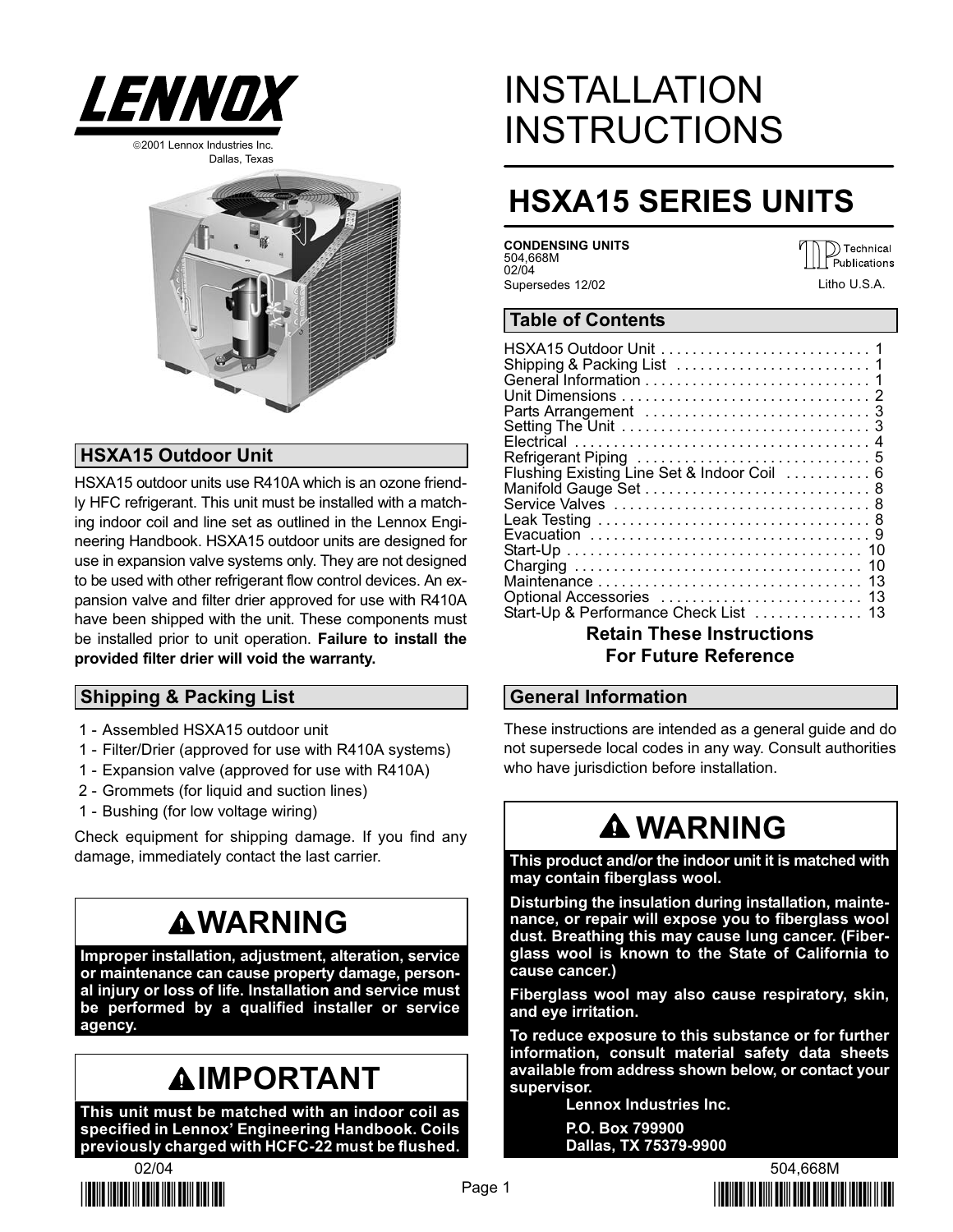

Dallas, Texas



## HSXA15 Outdoor Unit

HSXA15 outdoor units use R410A which is an ozone friendly HFC refrigerant. This unit must be installed with a matching indoor coil and line set as outlined in the Lennox Engineering Handbook. HSXA15 outdoor units are designed for use in expansion valve systems only. They are not designed to be used with other refrigerant flow control devices. An expansion valve and filter drier approved for use with R410A have been shipped with the unit. These components must be installed prior to unit operation. Failure to install the provided filter drier will void the warranty.

## Shipping & Packing List

- 1 − Assembled HSXA15 outdoor unit
- 1 − Filter/Drier (approved for use with R410A systems)
- 1 − Expansion valve (approved for use with R410A)
- 2 − Grommets (for liquid and suction lines)
- 1 − Bushing (for low voltage wiring)

Check equipment for shipping damage. If you find any damage, immediately contact the last carrier.

# **AWARNING**

Improper installation, adjustment, alteration, service or maintenance can cause property damage, personal injury or loss of life. Installation and service must be performed by a qualified installer or service agency.

# **AIMPORTANT**

This unit must be matched with an indoor coil as specified in Lennox' Engineering Handbook. Coils previously charged with HCFC−22 must be flushed.



# INSTALLATION **INSTRUCTIONS**

# HSXA15 SERIES UNITS

CONDENSING UNITS 504,668M 02/04 Supersedes 12/02

 $\mathbb{D}$  Technical Publications Litho U.S.A.

### Table of Contents

| Flushing Existing Line Set & Indoor Coil 6 |
|--------------------------------------------|
|                                            |
|                                            |
|                                            |
|                                            |
|                                            |
|                                            |
|                                            |
|                                            |
| Start-Up & Performance Check List  13      |
|                                            |

## Retain These Instructions For Future Reference

### General Information

These instructions are intended as a general guide and do not supersede local codes in any way. Consult authorities who have jurisdiction before installation.

# **A WARNING**

This product and/or the indoor unit it is matched with may contain fiberglass wool.

Disturbing the insulation during installation, maintenance, or repair will expose you to fiberglass wool dust. Breathing this may cause lung cancer. (Fiberglass wool is known to the State of California to cause cancer.)

Fiberglass wool may also cause respiratory, skin, and eye irritation.

To reduce exposure to this substance or for further information, consult material safety data sheets available from address shown below, or contact your supervisor.

> Lennox Industries Inc. P.O. Box 799900 Dallas, TX 75379−9900

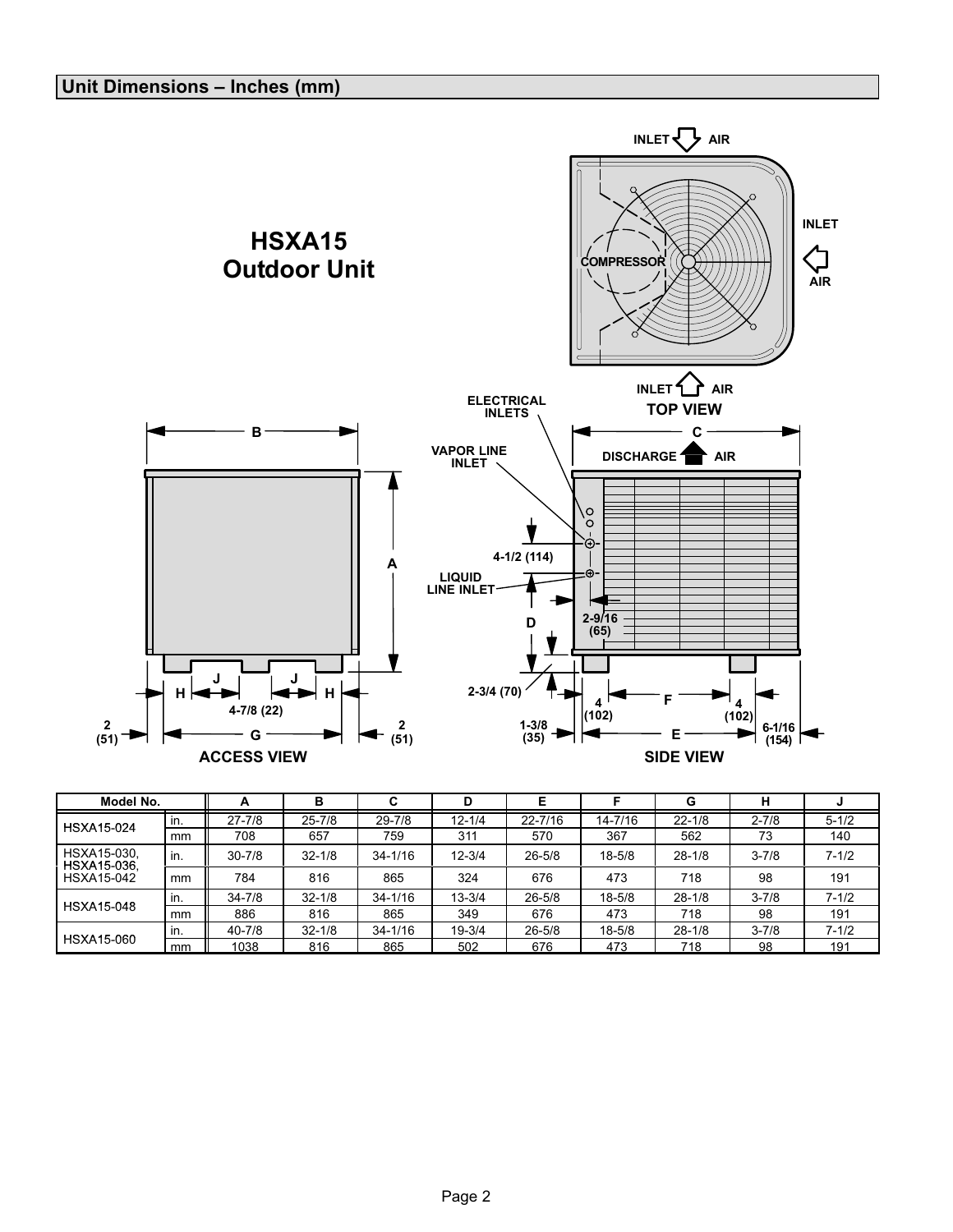

| Model No.                  |     | A          | в          |             | D          |             |            | G          | н         |           |
|----------------------------|-----|------------|------------|-------------|------------|-------------|------------|------------|-----------|-----------|
| <b>HSXA15-024</b>          | in. | $27 - 7/8$ | $25 - 7/8$ | $29 - 7/8$  | $12 - 1/4$ | $22 - 7/16$ | 14-7/16    | $22 - 1/8$ | $2 - 7/8$ | $5 - 1/2$ |
|                            | mm  | 708        | 657        | 759         | 311        | 570         | 367        | 562        | 73        | 140       |
| HSXA15-030,<br>HSXA15-036, | in. | $30 - 7/8$ | $32 - 1/8$ | $34 - 1/16$ | $12 - 3/4$ | $26 - 5/8$  | $18 - 5/8$ | $28 - 1/8$ | $3 - 7/8$ | $7 - 1/2$ |
| <b>HSXA15-042</b>          | mm  | 784        | 816        | 865         | 324        | 676         | 473        | 718        | 98        | 191       |
|                            | in. | $34 - 7/8$ | $32 - 1/8$ | $34 - 1/16$ | $13 - 3/4$ | $26 - 5/8$  | $18 - 5/8$ | $28 - 1/8$ | $3 - 7/8$ | $7 - 1/2$ |
| <b>HSXA15-048</b>          | mm  | 886        | 816        | 865         | 349        | 676         | 473        | 718        | 98        | 191       |
|                            | in. | $40 - 7/8$ | $32 - 1/8$ | $34 - 1/16$ | $19 - 3/4$ | $26 - 5/8$  | $18 - 5/8$ | $28 - 1/8$ | $3 - 7/8$ | $7 - 1/2$ |
| <b>HSXA15-060</b>          | mm  | 1038       | 816        | 865         | 502        | 676         | 473        | 718        | 98        | 191       |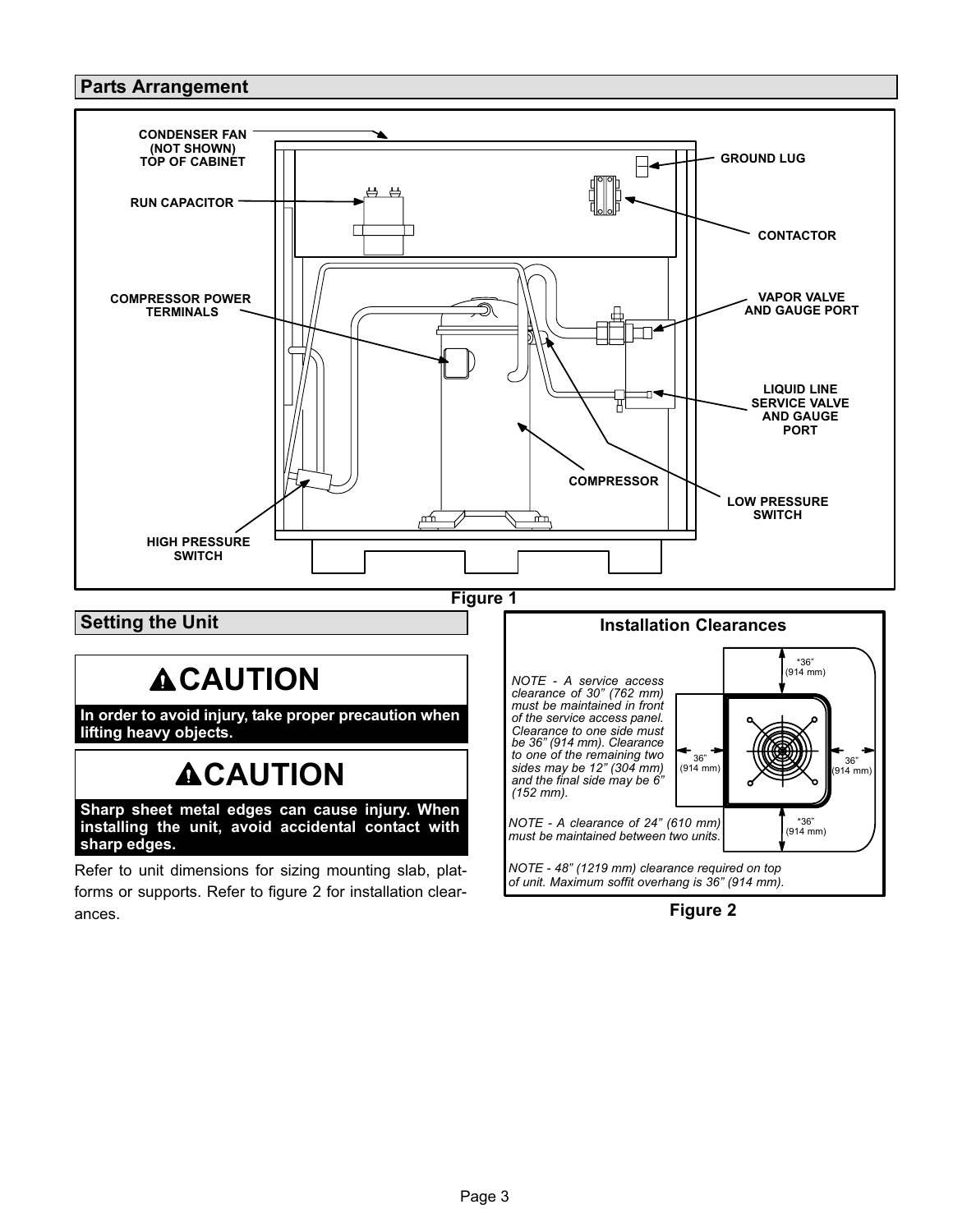## Parts Arrangement



Refer to unit dimensions for sizing mounting slab, platforms or supports. Refer to figure 2 for installation clearances.

Figure 2

NOTE − 48" (1219 mm) clearance required on top of unit. Maximum soffit overhang is 36" (914 mm).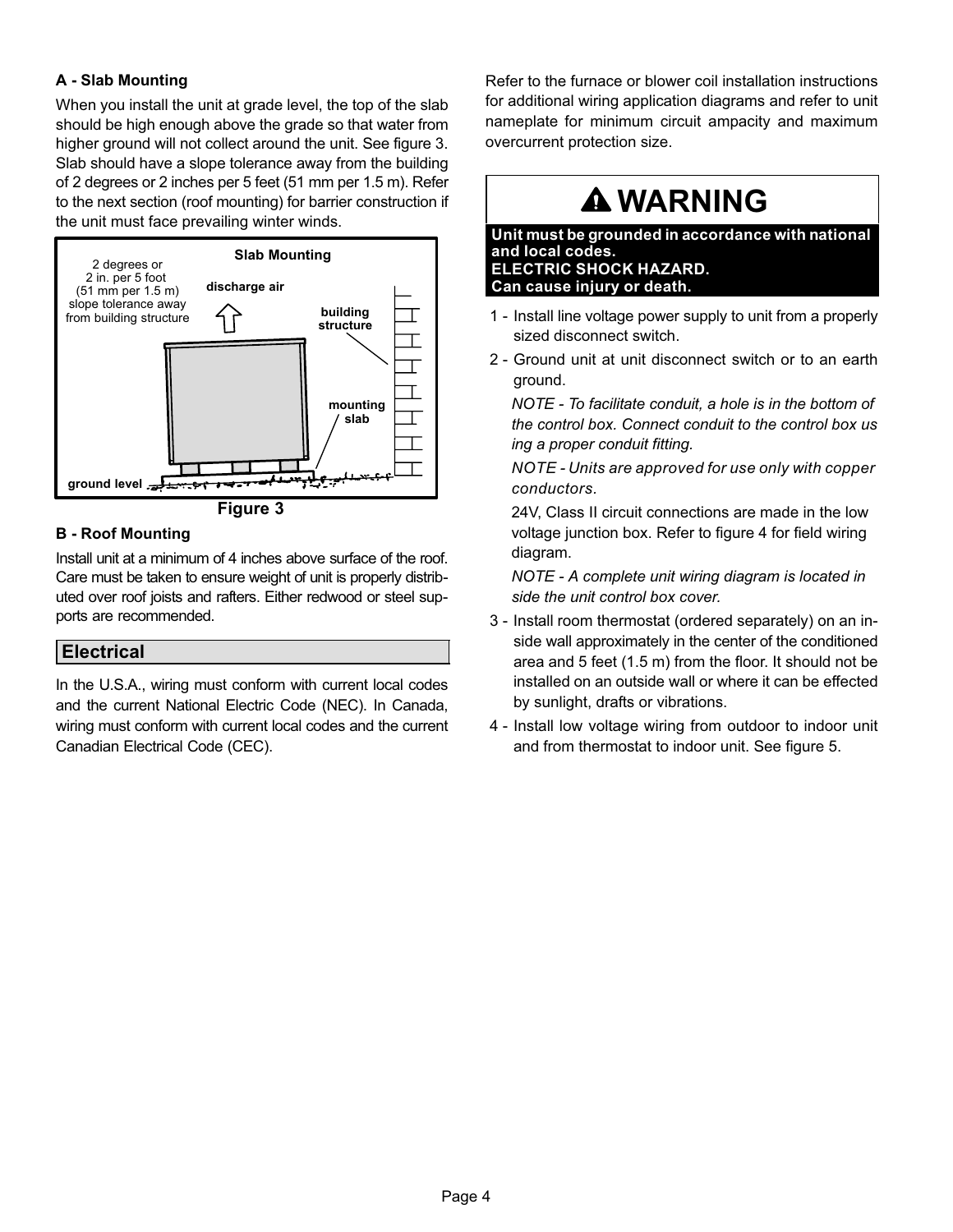### A − Slab Mounting

When you install the unit at grade level, the top of the slab should be high enough above the grade so that water from higher ground will not collect around the unit. See figure 3. Slab should have a slope tolerance away from the building of 2 degrees or 2 inches per 5 feet (51 mm per 1.5 m). Refer to the next section (roof mounting) for barrier construction if the unit must face prevailing winter winds.



Figure 3

#### B − Roof Mounting

Install unit at a minimum of 4 inches above surface of the roof. Care must be taken to ensure weight of unit is properly distributed over roof joists and rafters. Either redwood or steel supports are recommended.

### Electrical

In the U.S.A., wiring must conform with current local codes and the current National Electric Code (NEC). In Canada, wiring must conform with current local codes and the current Canadian Electrical Code (CEC).

Refer to the furnace or blower coil installation instructions for additional wiring application diagrams and refer to unit nameplate for minimum circuit ampacity and maximum overcurrent protection size.

# WARNING

Unit must be grounded in accordance with national and local codes. ELECTRIC SHOCK HAZARD. Can cause injury or death.

- 1 − Install line voltage power supply to unit from a properly sized disconnect switch.
- 2 − Ground unit at unit disconnect switch or to an earth ground.

NOTE − To facilitate conduit, a hole is in the bottom of the control box. Connect conduit to the control box us ing a proper conduit fitting.

NOTE − Units are approved for use only with copper conductors.

24V, Class II circuit connections are made in the low voltage junction box. Refer to figure [4](#page-4-0) for field wiring diagram.

NOTE − A complete unit wiring diagram is located in side the unit control box cover.

- 3 − Install room thermostat (ordered separately) on an inside wall approximately in the center of the conditioned area and 5 feet (1.5 m) from the floor. It should not be installed on an outside wall or where it can be effected by sunlight, drafts or vibrations.
- 4 − Install low voltage wiring from outdoor to indoor unit and from thermostat to indoor unit. See figure [5](#page-4-0).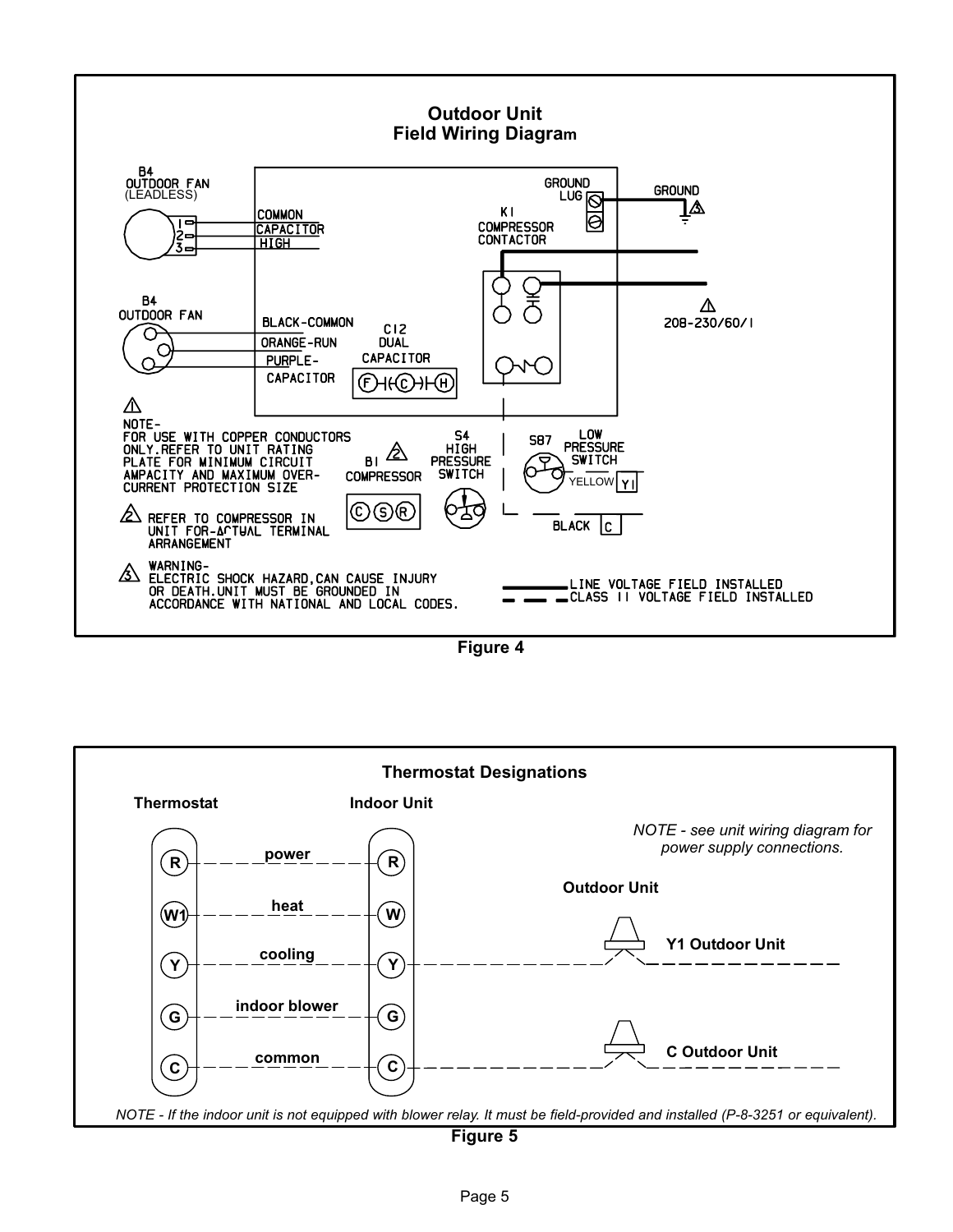<span id="page-4-0"></span>

Figure 4



Figure 5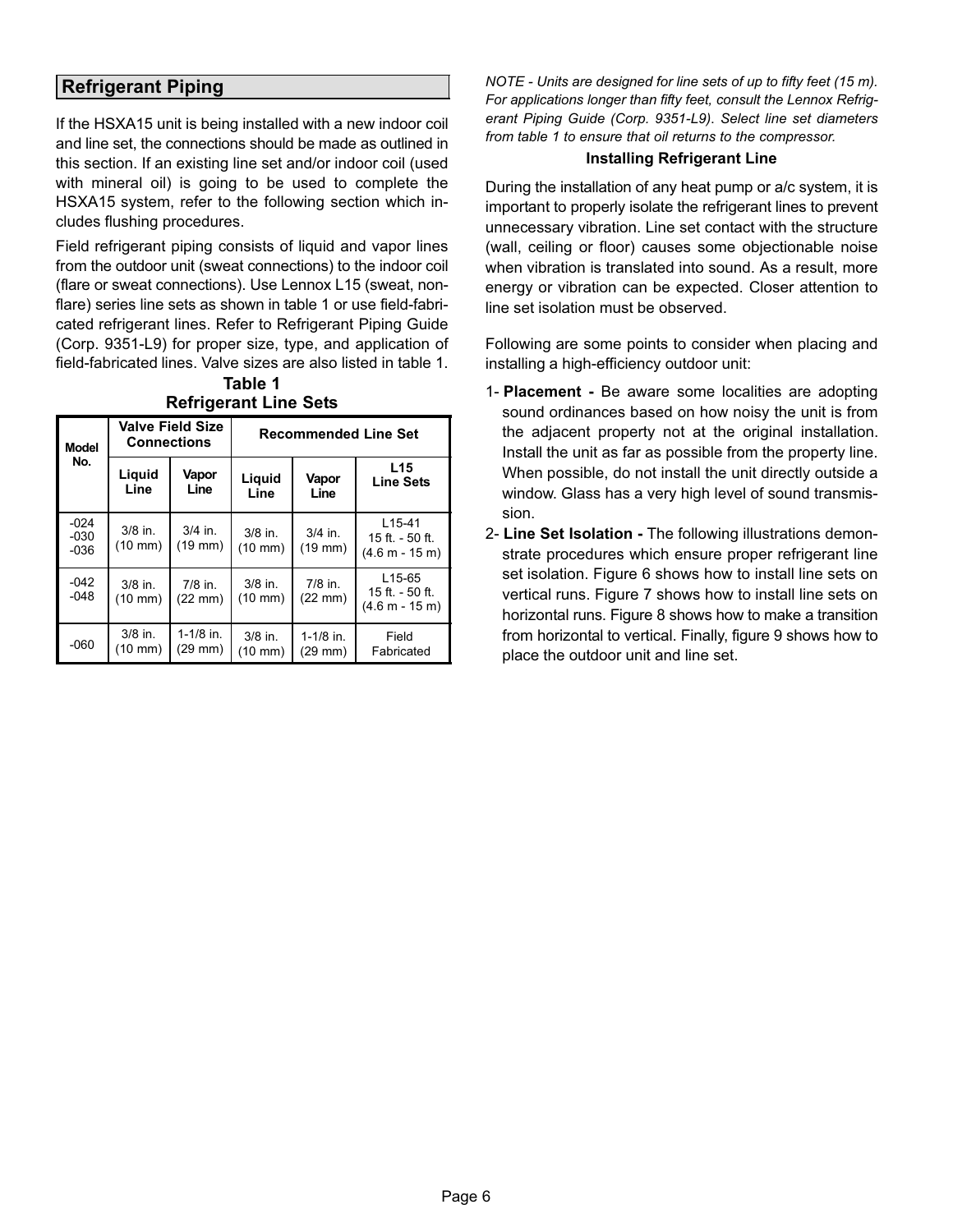## Refrigerant Piping

If the HSXA15 unit is being installed with a new indoor coil and line set, the connections should be made as outlined in this section. If an existing line set and/or indoor coil (used with mineral oil) is going to be used to complete the HSXA15 system, refer to the following section which includes flushing procedures.

Field refrigerant piping consists of liquid and vapor lines from the outdoor unit (sweat connections) to the indoor coil (flare or sweat connections). Use Lennox L15 (sweat, nonflare) series line sets as shown in table 1 or use field-fabricated refrigerant lines. Refer to Refrigerant Piping Guide (Corp. 9351−L9) for proper size, type, and application of field−fabricated lines. Valve sizes are also listed in table 1.

Table 1 Refrigerant Line Sets

| <b>Model</b>               | <b>Connections</b>                                | <b>Valve Field Size</b>        | <b>Recommended Line Set</b>    |                                |                                                             |  |  |
|----------------------------|---------------------------------------------------|--------------------------------|--------------------------------|--------------------------------|-------------------------------------------------------------|--|--|
| No.                        | Liquid<br>Vapor<br>Liquid<br>Line<br>Line<br>Line |                                | Vapor<br>Line                  | L15<br><b>Line Sets</b>        |                                                             |  |  |
| $-024$<br>$-030$<br>$-036$ | $3/8$ in.<br>$(10 \text{ mm})$                    | $3/4$ in.<br>$(19$ mm $)$      | $3/8$ in.<br>$(10 \text{ mm})$ | $3/4$ in.<br>$(19$ mm $)$      | $L15-41$<br>$15$ ft. $-50$ ft.<br>$(4.6 m - 15 m)$          |  |  |
| $-042$<br>$-048$           | $3/8$ in.<br>$(10 \, \text{mm})$                  | $7/8$ in.<br>$(22 \text{ mm})$ | $3/8$ in.<br>$(10 \text{ mm})$ | $7/8$ in.<br>$(22 \text{ mm})$ | L <sub>15</sub> -65<br>15 ft. $-50$ ft.<br>$(4.6 m - 15 m)$ |  |  |
| $-060$                     | $3/8$ in.<br>(10 mm)                              | $1-1/8$ in.<br>(29 mm)         | $3/8$ in.<br>(10 mm)           | $1-1/8$ in.<br>$(29$ mm $)$    | Field<br>Fabricated                                         |  |  |

NOTE − Units are designed for line sets of up to fifty feet (15 m). For applications longer than fifty feet, consult the Lennox Refrigerant Piping Guide (Corp. 9351−L9). Select line set diameters from table 1 to ensure that oil returns to the compressor.

#### Installing Refrigerant Line

During the installation of any heat pump or a/c system, it is important to properly isolate the refrigerant lines to prevent unnecessary vibration. Line set contact with the structure (wall, ceiling or floor) causes some objectionable noise when vibration is translated into sound. As a result, more energy or vibration can be expected. Closer attention to line set isolation must be observed.

Following are some points to consider when placing and installing a high−efficiency outdoor unit:

- 1- Placement − Be aware some localities are adopting sound ordinances based on how noisy the unit is from the adjacent property not at the original installation. Install the unit as far as possible from the property line. When possible, do not install the unit directly outside a window. Glass has a very high level of sound transmission.
- 2- Line Set Isolation The following illustrations demonstrate procedures which ensure proper refrigerant line set isolation. Figure [6](#page-6-0) shows how to install line sets on vertical runs. Figure [7](#page-7-0) shows how to install line sets on horizontal runs. Figure [8](#page-8-0) shows how to make a transition from horizontal to vertical. Finally, figure [9](#page-8-0) shows how to place the outdoor unit and line set.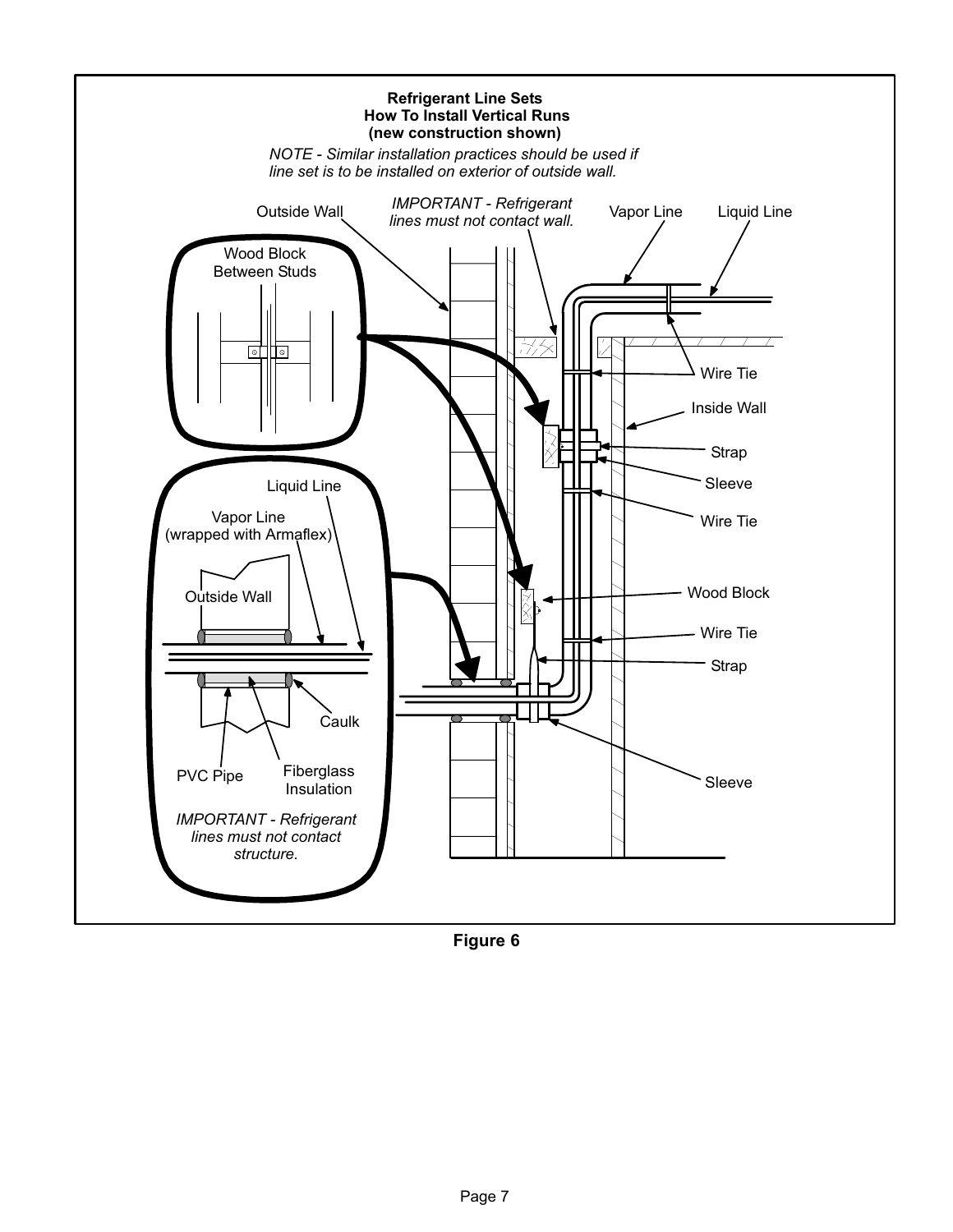<span id="page-6-0"></span>

Figure 6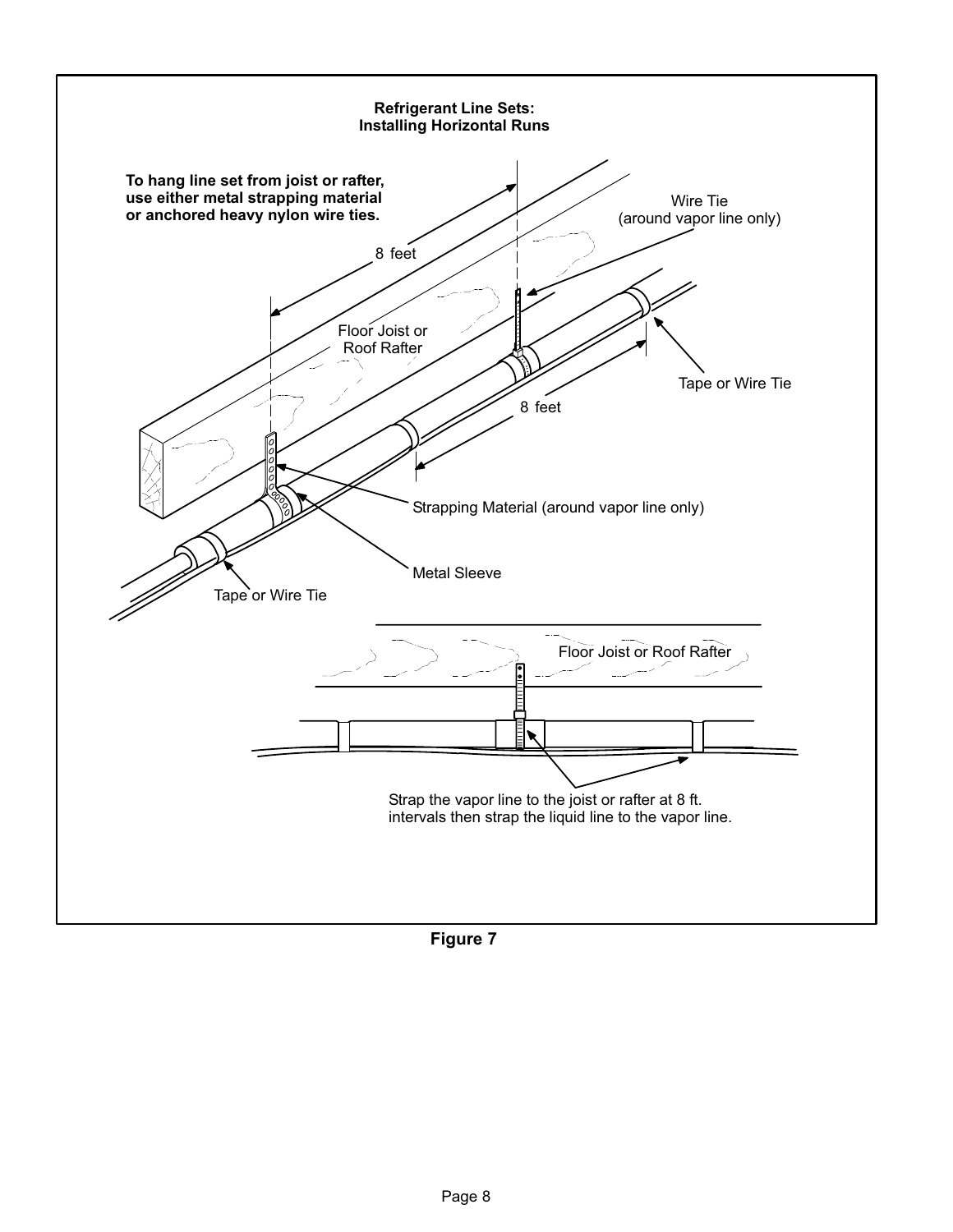<span id="page-7-0"></span>

Figure 7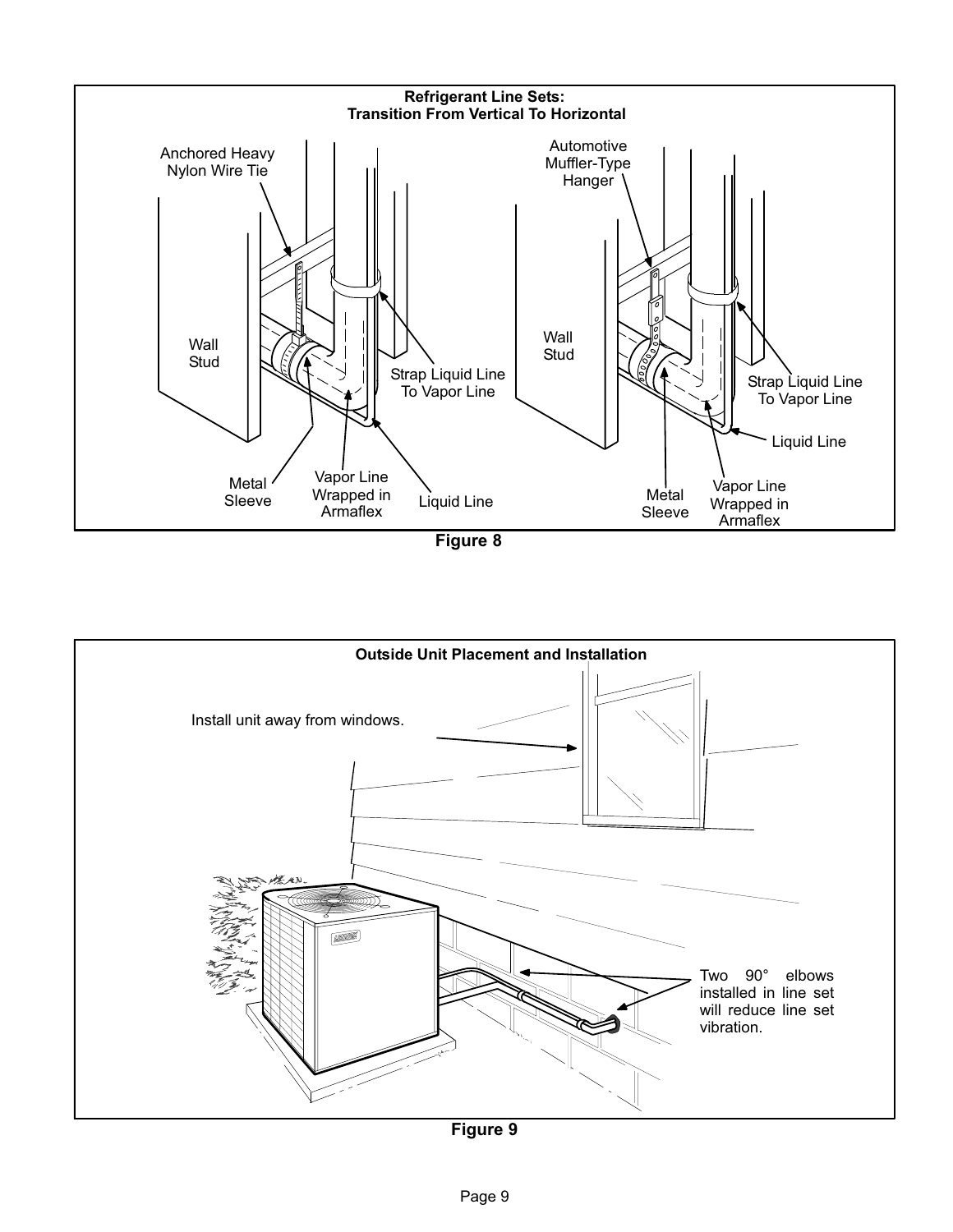<span id="page-8-0"></span>

Figure 8



Figure 9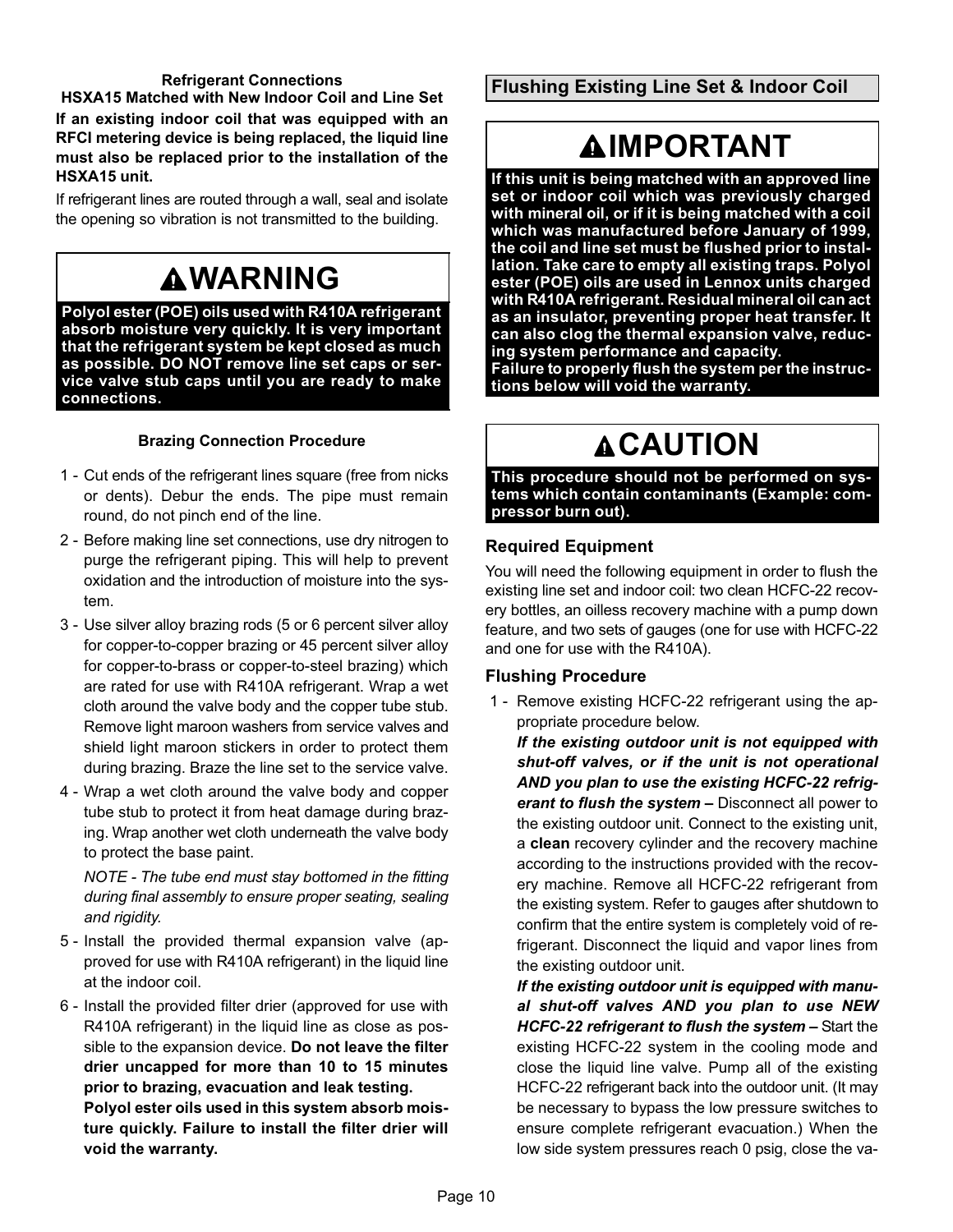#### Refrigerant Connections

HSXA15 Matched with New Indoor Coil and Line Set If an existing indoor coil that was equipped with an RFCI metering device is being replaced, the liquid line must also be replaced prior to the installation of the HSXA15 unit.

If refrigerant lines are routed through a wall, seal and isolate the opening so vibration is not transmitted to the building.

# **AWARNING**

Polyol ester (POE) oils used with R410A refrigerant absorb moisture very quickly. It is very important that the refrigerant system be kept closed as much as possible. DO NOT remove line set caps or service valve stub caps until you are ready to make connections.

## Brazing Connection Procedure

- 1 − Cut ends of the refrigerant lines square (free from nicks or dents). Debur the ends. The pipe must remain round, do not pinch end of the line.
- 2 − Before making line set connections, use dry nitrogen to purge the refrigerant piping. This will help to prevent oxidation and the introduction of moisture into the system.
- 3 Use silver alloy brazing rods (5 or 6 percent silver alloy for copper−to−copper brazing or 45 percent silver alloy for copper−to−brass or copper−to−steel brazing) which are rated for use with R410A refrigerant. Wrap a wet cloth around the valve body and the copper tube stub. Remove light maroon washers from service valves and shield light maroon stickers in order to protect them during brazing. Braze the line set to the service valve.
- 4 − Wrap a wet cloth around the valve body and copper tube stub to protect it from heat damage during brazing. Wrap another wet cloth underneath the valve body to protect the base paint.

NOTE − The tube end must stay bottomed in the fitting during final assembly to ensure proper seating, sealing and rigidity.

- 5 − Install the provided thermal expansion valve (approved for use with R410A refrigerant) in the liquid line at the indoor coil.
- 6 − Install the provided filter drier (approved for use with R410A refrigerant) in the liquid line as close as possible to the expansion device. Do not leave the filter drier uncapped for more than 10 to 15 minutes prior to brazing, evacuation and leak testing. Polyol ester oils used in this system absorb moisture quickly. Failure to install the filter drier will void the warranty.

Flushing Existing Line Set & Indoor Coil

# **AIMPORTANT**

If this unit is being matched with an approved line set or indoor coil which was previously charged with mineral oil, or if it is being matched with a coil which was manufactured before January of 1999, the coil and line set must be flushed prior to installation. Take care to empty all existing traps. Polyol ester (POE) oils are used in Lennox units charged with R410A refrigerant. Residual mineral oil can act as an insulator, preventing proper heat transfer. It can also clog the thermal expansion valve, reducing system performance and capacity.

Failure to properly flush the system per the instructions below will void the warranty.

# **ACAUTION**

This procedure should not be performed on systems which contain contaminants (Example: compressor burn out).

### Required Equipment

You will need the following equipment in order to flush the existing line set and indoor coil: two clean HCFC−22 recovery bottles, an oilless recovery machine with a pump down feature, and two sets of gauges (one for use with HCFC−22 and one for use with the R410A).

### Flushing Procedure

 1 − Remove existing HCFC−22 refrigerant using the appropriate procedure below.

If the existing outdoor unit is not equipped with shut−off valves, or if the unit is not operational AND you plan to use the existing HCFC−22 refrigerant to flush the system - Disconnect all power to the existing outdoor unit. Connect to the existing unit, a clean recovery cylinder and the recovery machine according to the instructions provided with the recovery machine. Remove all HCFC−22 refrigerant from the existing system. Refer to gauges after shutdown to confirm that the entire system is completely void of refrigerant. Disconnect the liquid and vapor lines from the existing outdoor unit.

If the existing outdoor unit is equipped with manual shut−off valves AND you plan to use NEW HCFC-22 refrigerant to flush the system - Start the existing HCFC−22 system in the cooling mode and close the liquid line valve. Pump all of the existing HCFC−22 refrigerant back into the outdoor unit. (It may be necessary to bypass the low pressure switches to ensure complete refrigerant evacuation.) When the low side system pressures reach 0 psig, close the va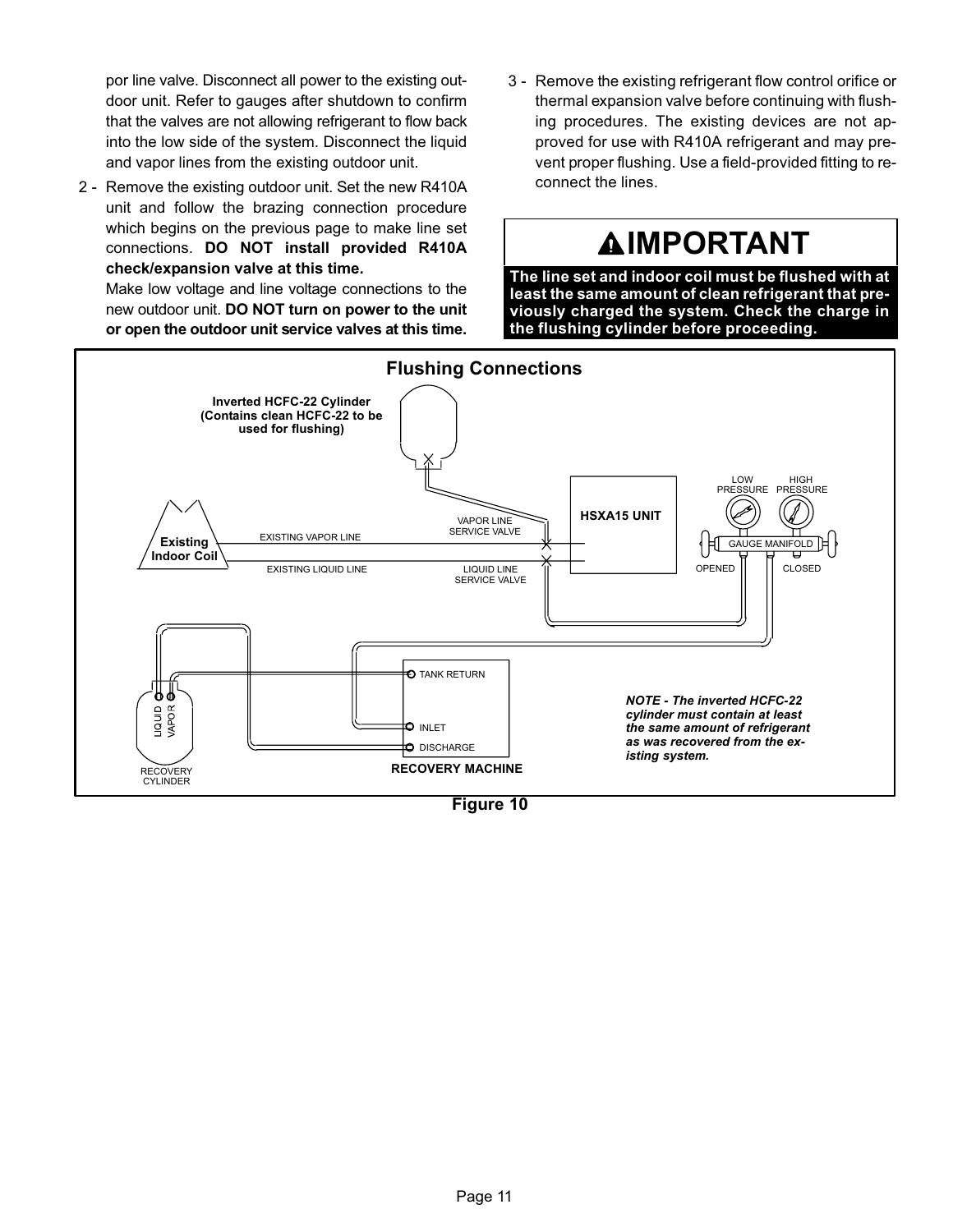por line valve. Disconnect all power to the existing outdoor unit. Refer to gauges after shutdown to confirm that the valves are not allowing refrigerant to flow back into the low side of the system. Disconnect the liquid and vapor lines from the existing outdoor unit.

2 - Remove the existing outdoor unit. Set the new R410A unit and follow the brazing connection procedure which begins on the previous page to make line set connections. DO NOT install provided R410A check/expansion valve at this time.

Make low voltage and line voltage connections to the new outdoor unit. DO NOT turn on power to the unit or open the outdoor unit service valves at this time.

 3 − Remove the existing refrigerant flow control orifice or thermal expansion valve before continuing with flushing procedures. The existing devices are not approved for use with R410A refrigerant and may prevent proper flushing. Use a field−provided fitting to reconnect the lines.

# **AIMPORTANT**

The line set and indoor coil must be flushed with at least the same amount of clean refrigerant that previously charged the system. Check the charge in the flushing cylinder before proceeding.



Figure 10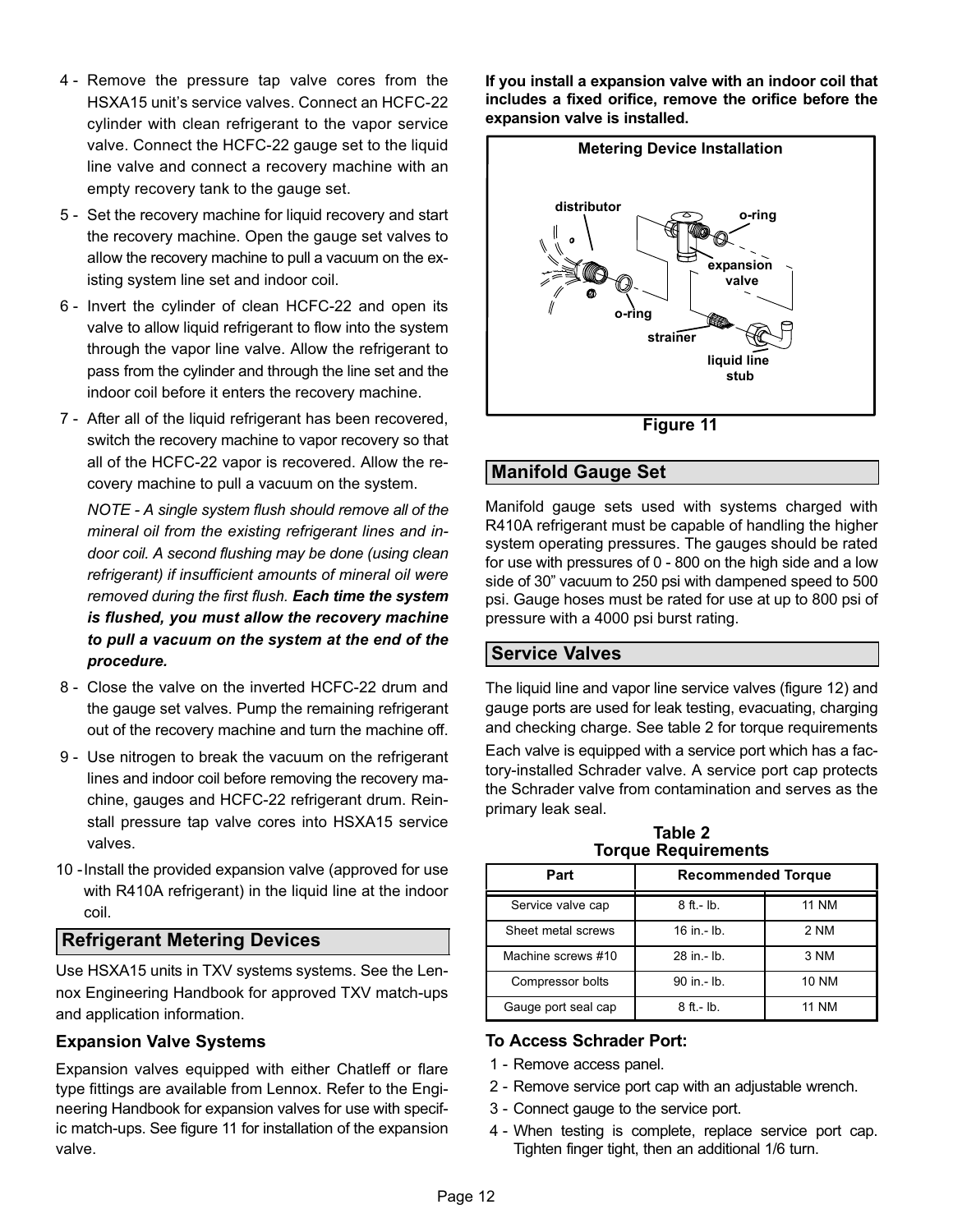- 4 − Remove the pressure tap valve cores from the HSXA15 unit's service valves. Connect an HCFC−22 cylinder with clean refrigerant to the vapor service valve. Connect the HCFC−22 gauge set to the liquid line valve and connect a recovery machine with an empty recovery tank to the gauge set.
- 5 − Set the recovery machine for liquid recovery and start the recovery machine. Open the gauge set valves to allow the recovery machine to pull a vacuum on the existing system line set and indoor coil.
- 6 − Invert the cylinder of clean HCFC−22 and open its valve to allow liquid refrigerant to flow into the system through the vapor line valve. Allow the refrigerant to pass from the cylinder and through the line set and the indoor coil before it enters the recovery machine.
- 7 After all of the liquid refrigerant has been recovered, switch the recovery machine to vapor recovery so that all of the HCFC−22 vapor is recovered. Allow the recovery machine to pull a vacuum on the system.

NOTE − A single system flush should remove all of the mineral oil from the existing refrigerant lines and indoor coil. A second flushing may be done (using clean refrigerant) if insufficient amounts of mineral oil were removed during the first flush. Each time the system is flushed, you must allow the recovery machine to pull a vacuum on the system at the end of the procedure.

- 8 − Close the valve on the inverted HCFC−22 drum and the gauge set valves. Pump the remaining refrigerant out of the recovery machine and turn the machine off.
- 9 Use nitrogen to break the vacuum on the refrigerant lines and indoor coil before removing the recovery machine, gauges and HCFC−22 refrigerant drum. Reinstall pressure tap valve cores into HSXA15 service valves.
- 10 −Install the provided expansion valve (approved for use with R410A refrigerant) in the liquid line at the indoor coil.

## Refrigerant Metering Devices

Use HSXA15 units in TXV systems systems. See the Lennox Engineering Handbook for approved TXV match-ups and application information.

### Expansion Valve Systems

Expansion valves equipped with either Chatleff or flare type fittings are available from Lennox. Refer to the Engineering Handbook for expansion valves for use with specific match−ups. See figure 11 for installation of the expansion valve.

If you install a expansion valve with an indoor coil that includes a fixed orifice, remove the orifice before the expansion valve is installed.



Figure 11

## Manifold Gauge Set

Manifold gauge sets used with systems charged with R410A refrigerant must be capable of handling the higher system operating pressures. The gauges should be rated for use with pressures of 0 − 800 on the high side and a low side of 30" vacuum to 250 psi with dampened speed to 500 psi. Gauge hoses must be rated for use at up to 800 psi of pressure with a 4000 psi burst rating.

## Service Valves

The liquid line and vapor line service valves (figure [12](#page-12-0)) and gauge ports are used for leak testing, evacuating, charging and checking charge. See table 2 for torque requirements Each valve is equipped with a service port which has a factory−installed Schrader valve. A service port cap protects the Schrader valve from contamination and serves as the primary leak seal.

Table 2 **Torque Requirements** 

| Part                | <b>Recommended Torque</b> |              |  |  |  |  |  |
|---------------------|---------------------------|--------------|--|--|--|--|--|
| Service valve cap   | $8$ ft. - $lb$ .          | <b>11 NM</b> |  |  |  |  |  |
| Sheet metal screws  | $16$ in $-$ lb.           | 2 NM         |  |  |  |  |  |
| Machine screws #10  | 28 in - lb.               | 3 NM         |  |  |  |  |  |
| Compressor bolts    | 90 in - lb.               | <b>10 NM</b> |  |  |  |  |  |
| Gauge port seal cap | $8$ ft. - $lb$ .          | <b>11 NM</b> |  |  |  |  |  |

### To Access Schrader Port:

- 1 − Remove access panel.
- 2 − Remove service port cap with an adjustable wrench.
- 3 − Connect gauge to the service port.
- 4 − When testing is complete, replace service port cap. Tighten finger tight, then an additional 1/6 turn.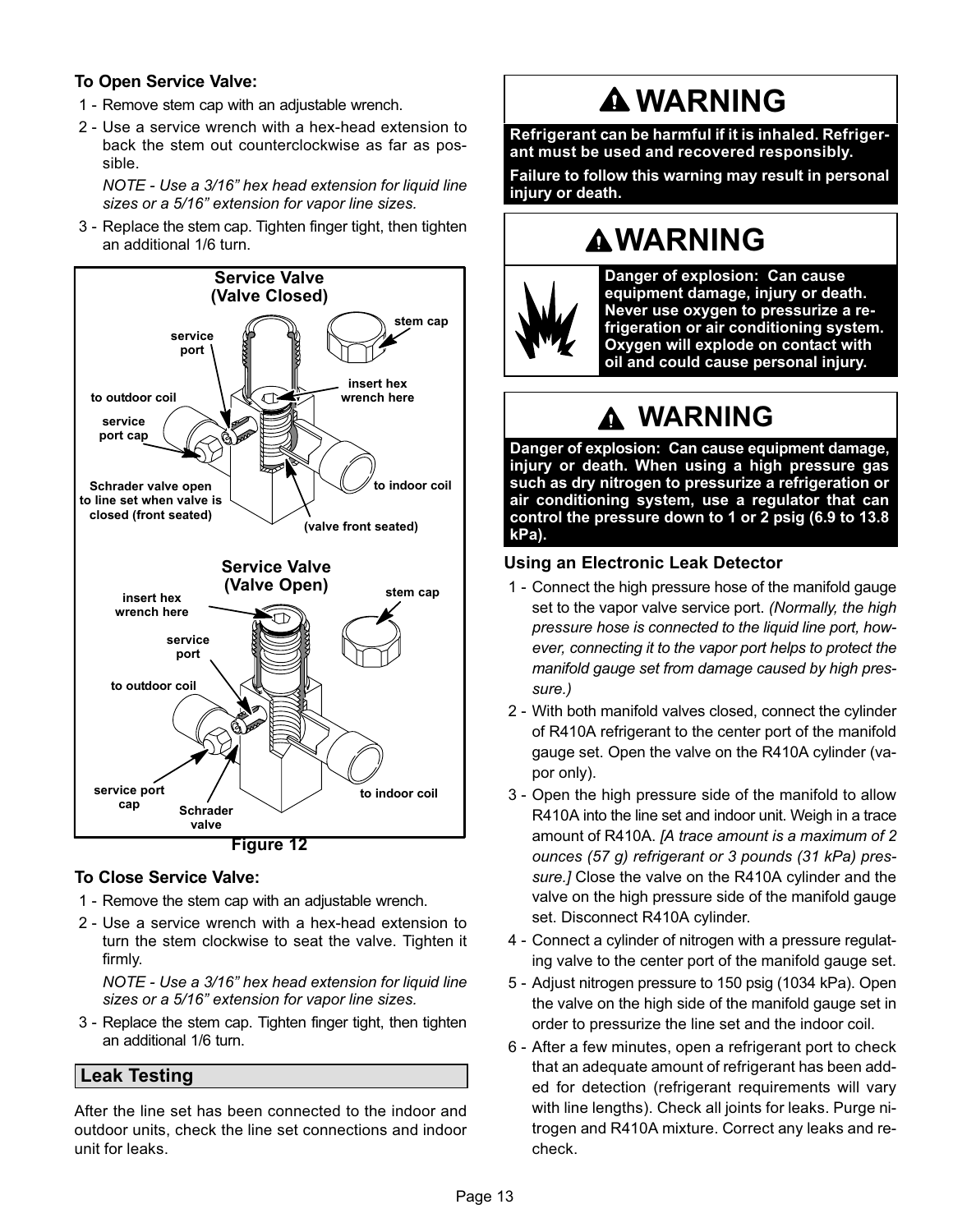### <span id="page-12-0"></span>To Open Service Valve:

- 1 − Remove stem cap with an adjustable wrench.
- 2 − Use a service wrench with a hex−head extension to back the stem out counterclockwise as far as possible.

NOTE − Use a 3/16" hex head extension for liquid line sizes or a 5/16" extension for vapor line sizes.

 3 − Replace the stem cap. Tighten finger tight, then tighten an additional 1/6 turn.



### To Close Service Valve:

- 1 − Remove the stem cap with an adjustable wrench.
- 2 − Use a service wrench with a hex−head extension to turn the stem clockwise to seat the valve. Tighten it firmly.

NOTE − Use a 3/16" hex head extension for liquid line sizes or a 5/16" extension for vapor line sizes.

 3 − Replace the stem cap. Tighten finger tight, then tighten an additional 1/6 turn.

## Leak Testing

After the line set has been connected to the indoor and outdoor units, check the line set connections and indoor unit for leaks.

# WARNING

Refrigerant can be harmful if it is inhaled. Refrigerant must be used and recovered responsibly.

Failure to follow this warning may result in personal injury or death.

# WARNING



Danger of explosion: Can cause equipment damage, injury or death. Never use oxygen to pressurize a refrigeration or air conditioning system. Oxygen will explode on contact with oil and could cause personal injury.

# WARNING

Danger of explosion: Can cause equipment damage, injury or death. When using a high pressure gas such as dry nitrogen to pressurize a refrigeration or air conditioning system, use a regulator that can control the pressure down to 1 or 2 psig (6.9 to 13.8 kPa).

## Using an Electronic Leak Detector

- 1 Connect the high pressure hose of the manifold gauge set to the vapor valve service port. (Normally, the high pressure hose is connected to the liquid line port, however, connecting it to the vapor port helps to protect the manifold gauge set from damage caused by high pressure.)
- 2 − With both manifold valves closed, connect the cylinder of R410A refrigerant to the center port of the manifold gauge set. Open the valve on the R410A cylinder (vapor only).
- 3 − Open the high pressure side of the manifold to allow R410A into the line set and indoor unit. Weigh in a trace amount of R410A. [A trace amount is a maximum of 2 ounces (57 g) refrigerant or 3 pounds (31 kPa) pressure.] Close the valve on the R410A cylinder and the valve on the high pressure side of the manifold gauge set. Disconnect R410A cylinder.
- 4 − Connect a cylinder of nitrogen with a pressure regulating valve to the center port of the manifold gauge set.
- 5 − Adjust nitrogen pressure to 150 psig (1034 kPa). Open the valve on the high side of the manifold gauge set in order to pressurize the line set and the indoor coil.
- 6 − After a few minutes, open a refrigerant port to check that an adequate amount of refrigerant has been added for detection (refrigerant requirements will vary with line lengths). Check all joints for leaks. Purge nitrogen and R410A mixture. Correct any leaks and recheck.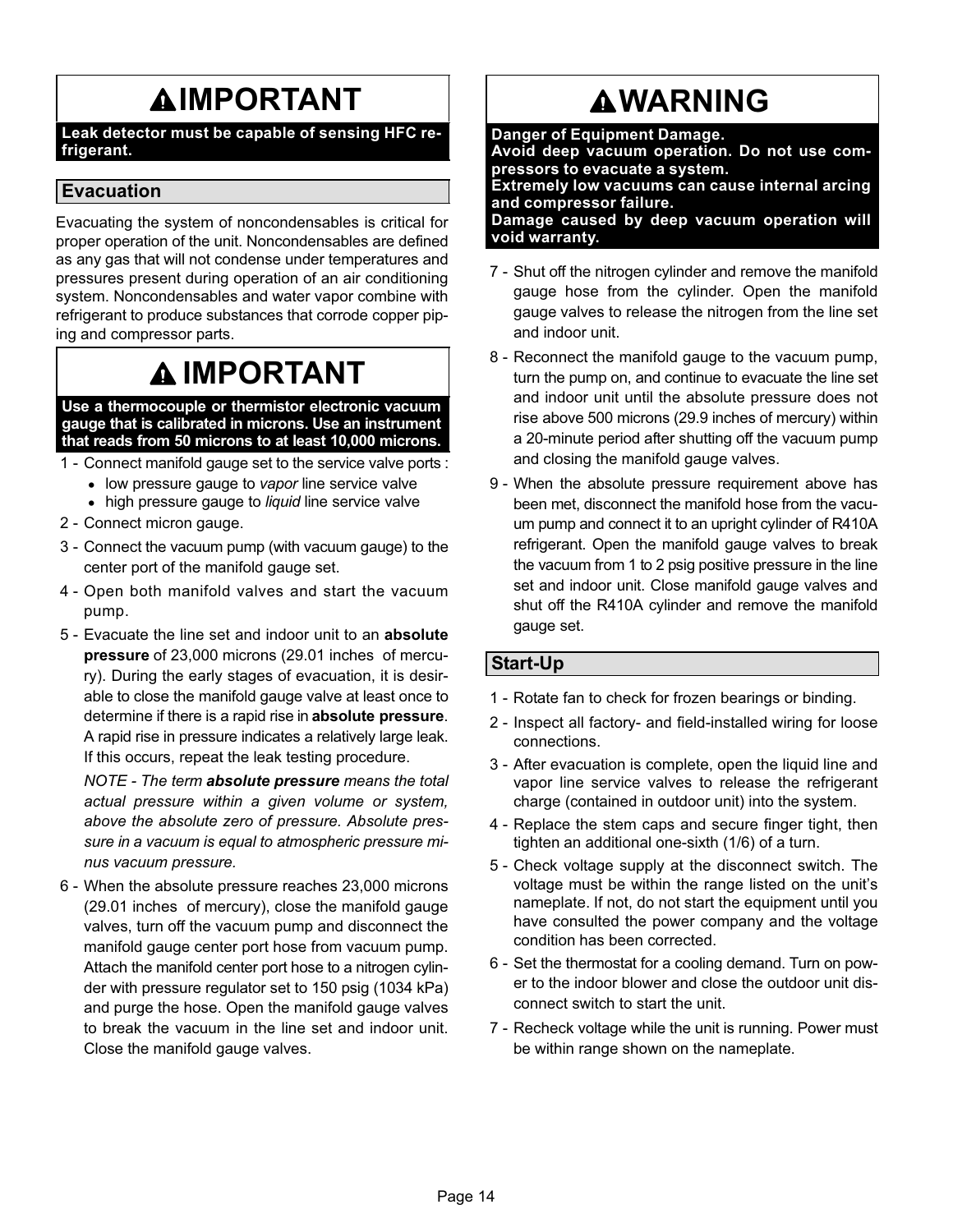# **AIMPORTANT**

Leak detector must be capable of sensing HFC refrigerant.

## Evacuation

Evacuating the system of noncondensables is critical for proper operation of the unit. Noncondensables are defined as any gas that will not condense under temperatures and pressures present during operation of an air conditioning system. Noncondensables and water vapor combine with refrigerant to produce substances that corrode copper piping and compressor parts.

# IMPORTANT

Use a thermocouple or thermistor electronic vacuum gauge that is calibrated in microns. Use an instrument that reads from 50 microns to at least 10,000 microns.

- 1 − Connect manifold gauge set to the service valve ports :
	- low pressure gauge to vapor line service valve
	- high pressure gauge to liquid line service valve
- 2 − Connect micron gauge.
- 3 − Connect the vacuum pump (with vacuum gauge) to the center port of the manifold gauge set.
- 4 − Open both manifold valves and start the vacuum pump.
- 5 Evacuate the line set and indoor unit to an absolute pressure of 23,000 microns (29.01 inches of mercury). During the early stages of evacuation, it is desirable to close the manifold gauge valve at least once to determine if there is a rapid rise in absolute pressure. A rapid rise in pressure indicates a relatively large leak. If this occurs, repeat the leak testing procedure.

NOTE - The term absolute pressure means the total actual pressure within a given volume or system, above the absolute zero of pressure. Absolute pressure in a vacuum is equal to atmospheric pressure minus vacuum pressure.

 6 − When the absolute pressure reaches 23,000 microns (29.01 inches of mercury), close the manifold gauge valves, turn off the vacuum pump and disconnect the manifold gauge center port hose from vacuum pump. Attach the manifold center port hose to a nitrogen cylinder with pressure regulator set to 150 psig (1034 kPa) and purge the hose. Open the manifold gauge valves to break the vacuum in the line set and indoor unit. Close the manifold gauge valves.

# **AWARNING**

Danger of Equipment Damage. Avoid deep vacuum operation. Do not use compressors to evacuate a system. Extremely low vacuums can cause internal arcing and compressor failure. Damage caused by deep vacuum operation will void warranty.

- 7 Shut off the nitrogen cylinder and remove the manifold gauge hose from the cylinder. Open the manifold gauge valves to release the nitrogen from the line set and indoor unit.
- 8 Reconnect the manifold gauge to the vacuum pump, turn the pump on, and continue to evacuate the line set and indoor unit until the absolute pressure does not rise above 500 microns (29.9 inches of mercury) within a 20−minute period after shutting off the vacuum pump and closing the manifold gauge valves.
- 9 When the absolute pressure requirement above has been met, disconnect the manifold hose from the vacuum pump and connect it to an upright cylinder of R410A refrigerant. Open the manifold gauge valves to break the vacuum from 1 to 2 psig positive pressure in the line set and indoor unit. Close manifold gauge valves and shut off the R410A cylinder and remove the manifold gauge set.

## Start−Up

- 1 − Rotate fan to check for frozen bearings or binding.
- 2 Inspect all factory- and field-installed wiring for loose connections.
- 3 − After evacuation is complete, open the liquid line and vapor line service valves to release the refrigerant charge (contained in outdoor unit) into the system.
- 4 − Replace the stem caps and secure finger tight, then tighten an additional one-sixth (1/6) of a turn.
- 5 − Check voltage supply at the disconnect switch. The voltage must be within the range listed on the unit's nameplate. If not, do not start the equipment until you have consulted the power company and the voltage condition has been corrected.
- 6 − Set the thermostat for a cooling demand. Turn on power to the indoor blower and close the outdoor unit disconnect switch to start the unit.
- 7 Recheck voltage while the unit is running. Power must be within range shown on the nameplate.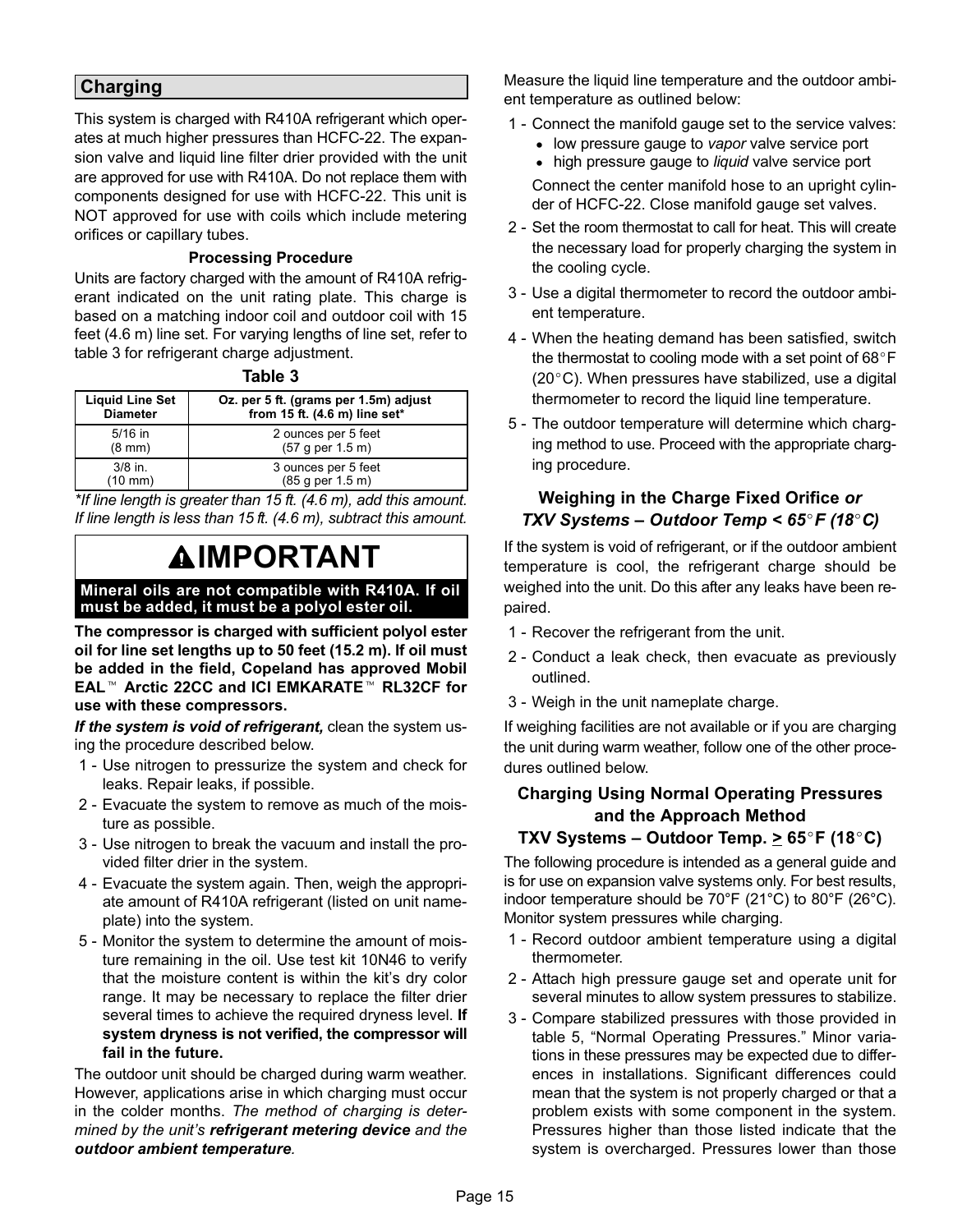## Charging

This system is charged with R410A refrigerant which operates at much higher pressures than HCFC−22. The expansion valve and liquid line filter drier provided with the unit are approved for use with R410A. Do not replace them with components designed for use with HCFC−22. This unit is NOT approved for use with coils which include metering orifices or capillary tubes.

#### Processing Procedure

Units are factory charged with the amount of R410A refrigerant indicated on the unit rating plate. This charge is based on a matching indoor coil and outdoor coil with 15 feet (4.6 m) line set. For varying lengths of line set, refer to table 3 for refrigerant charge adjustment.

| Л<br>10<br>. . |  |
|----------------|--|
|----------------|--|

| <b>Liquid Line Set</b> | Oz. per 5 ft. (grams per 1.5m) adjust |
|------------------------|---------------------------------------|
| <b>Diameter</b>        | from 15 ft. (4.6 m) line set*         |
| $5/16$ in              | 2 ounces per 5 feet                   |
| $(8 \text{ mm})$       | (57 g per 1.5 m)                      |
| $3/8$ in.              | 3 ounces per 5 feet                   |
| $(10 \text{ mm})$      | (85 g per 1.5 m)                      |

\*If line length is greater than 15 ft. (4.6 m), add this amount. If line length is less than 15 ft. (4.6 m), subtract this amount.

# **AIMPORTANT**

#### Mineral oils are not compatible with R410A. If oil must be added, it must be a polyol ester oil.

The compressor is charged with sufficient polyol ester oil for line set lengths up to 50 feet (15.2 m). If oil must on for line set lengths up to 50 leet (15.2 m). If oil must<br>be added in the field, Copeland has approved Mobil<br>EAL™ Arctic 22CC and ICI EMKARATE™ RL32CF for use with these compressors.

If the system is void of refrigerant, clean the system using the procedure described below.

- 1 Use nitrogen to pressurize the system and check for leaks. Repair leaks, if possible.
- 2 − Evacuate the system to remove as much of the moisture as possible.
- 3 − Use nitrogen to break the vacuum and install the provided filter drier in the system.
- 4 − Evacuate the system again. Then, weigh the appropriate amount of R410A refrigerant (listed on unit nameplate) into the system.
- 5 − Monitor the system to determine the amount of moisture remaining in the oil. Use test kit 10N46 to verify that the moisture content is within the kit's dry color range. It may be necessary to replace the filter drier several times to achieve the required dryness level. If system dryness is not verified, the compressor will fail in the future.

The outdoor unit should be charged during warm weather. However, applications arise in which charging must occur in the colder months. The method of charging is determined by the unit's refrigerant metering device and the outdoor ambient temperature.

Measure the liquid line temperature and the outdoor ambient temperature as outlined below:

- 1 Connect the manifold gauge set to the service valves:
	- low pressure gauge to vapor valve service port
	- high pressure gauge to liquid valve service port

Connect the center manifold hose to an upright cylinder of HCFC-22. Close manifold gauge set valves.

- 2 − Set the room thermostat to call for heat. This will create the necessary load for properly charging the system in the cooling cycle.
- 3 − Use a digital thermometer to record the outdoor ambient temperature.
- 4 − When the heating demand has been satisfied, switch the thermostat to cooling mode with a set point of  $68^{\circ}$  F (20°C). When pressures have stabilized, use a digital thermometer to record the liquid line temperature.
- 5 − The outdoor temperature will determine which charging method to use. Proceed with the appropriate charging procedure.

## Weighing in the Charge Fixed Orifice or TXV Systems - Outdoor Temp <  $65^{\circ}$ F (18 $^{\circ}$ C)

If the system is void of refrigerant, or if the outdoor ambient temperature is cool, the refrigerant charge should be weighed into the unit. Do this after any leaks have been repaired.

- 1 Recover the refrigerant from the unit.
- 2 − Conduct a leak check, then evacuate as previously outlined.
- 3 − Weigh in the unit nameplate charge.

If weighing facilities are not available or if you are charging the unit during warm weather, follow one of the other procedures outlined below.

## Charging Using Normal Operating Pressures and the Approach Method TXV Systems – Outdoor Temp.  $\geq 65^{\circ}$ F (18 $^{\circ}$ C)

The following procedure is intended as a general guide and is for use on expansion valve systems only. For best results, indoor temperature should be 70°F (21°C) to 80°F (26°C). Monitor system pressures while charging.

- 1 Record outdoor ambient temperature using a digital thermometer.
- 2 − Attach high pressure gauge set and operate unit for several minutes to allow system pressures to stabilize.
- 3 − Compare stabilized pressures with those provided in table [5,](#page-15-0) "Normal Operating Pressures." Minor variations in these pressures may be expected due to differences in installations. Significant differences could mean that the system is not properly charged or that a problem exists with some component in the system. Pressures higher than those listed indicate that the system is overcharged. Pressures lower than those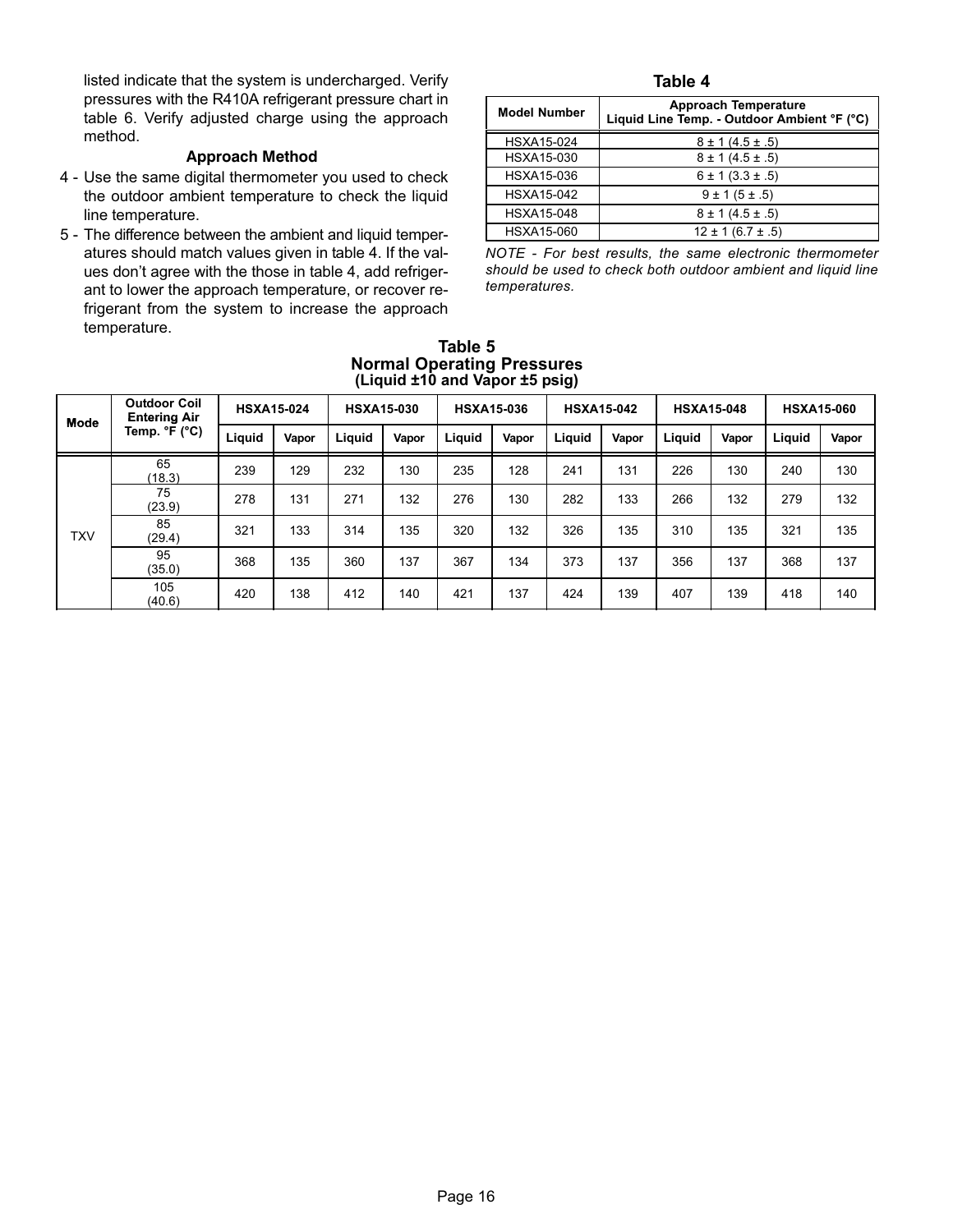<span id="page-15-0"></span>listed indicate that the system is undercharged. Verify pressures with the R410A refrigerant pressure chart in table [6](#page-16-0). Verify adjusted charge using the approach method.

#### Approach Method

- 4 − Use the same digital thermometer you used to check the outdoor ambient temperature to check the liquid line temperature.
- 5 − The difference between the ambient and liquid temperatures should match values given in table 4. If the values don't agree with the those in table 4, add refrigerant to lower the approach temperature, or recover refrigerant from the system to increase the approach temperature.

#### Table 4

| <b>Model Number</b> | <b>Approach Temperature</b><br>Liquid Line Temp. - Outdoor Ambient °F (°C) |
|---------------------|----------------------------------------------------------------------------|
| HSXA15-024          | $8 \pm 1 (4.5 \pm .5)$                                                     |
| HSXA15-030          | $8 \pm 1 (4.5 \pm .5)$                                                     |
| HSXA15-036          | $6 \pm 1 (3.3 \pm .5)$                                                     |
| <b>HSXA15-042</b>   | $9 \pm 1 (5 \pm .5)$                                                       |
| <b>HSXA15-048</b>   | $8 \pm 1 (4.5 \pm .5)$                                                     |
| HSXA15-060          | $12 \pm 1 (6.7 \pm .5)$                                                    |

NOTE − For best results, the same electronic thermometer should be used to check both outdoor ambient and liquid line temperatures.

|             | (Liquid ±10 and vapor ±5 psiq)             |                   |       |        |                   |        |                   |                   |       |                   |       |                   |       |
|-------------|--------------------------------------------|-------------------|-------|--------|-------------------|--------|-------------------|-------------------|-------|-------------------|-------|-------------------|-------|
| <b>Mode</b> | <b>Outdoor Coil</b><br><b>Entering Air</b> | <b>HSXA15-024</b> |       |        | <b>HSXA15-030</b> |        | <b>HSXA15-036</b> | <b>HSXA15-042</b> |       | <b>HSXA15-048</b> |       | <b>HSXA15-060</b> |       |
|             | Temp. °F (°C)                              | Liquid            | Vapor | Liquid | Vapor             | Liguid | Vapor             | Liquid            | Vapor | Liquid            | Vapor | Liquid            | Vapor |
|             | 65<br>(18.3)                               | 239               | 129   | 232    | 130               | 235    | 128               | 241               | 131   | 226               | 130   | 240               | 130   |
|             | 75<br>(23.9)                               | 278               | 131   | 271    | 132               | 276    | 130               | 282               | 133   | 266               | 132   | 279               | 132   |
| <b>TXV</b>  | 85<br>(29.4)                               | 321               | 133   | 314    | 135               | 320    | 132               | 326               | 135   | 310               | 135   | 321               | 135   |
|             | 95<br>(35.0)                               | 368               | 135   | 360    | 137               | 367    | 134               | 373               | 137   | 356               | 137   | 368               | 137   |
|             | 105<br>(40.6)                              | 420               | 138   | 412    | 140               | 421    | 137               | 424               | 139   | 407               | 139   | 418               | 140   |

#### Table 5 Normal Operating Pressures (Liquid ±10 and Vapor ±5 psig)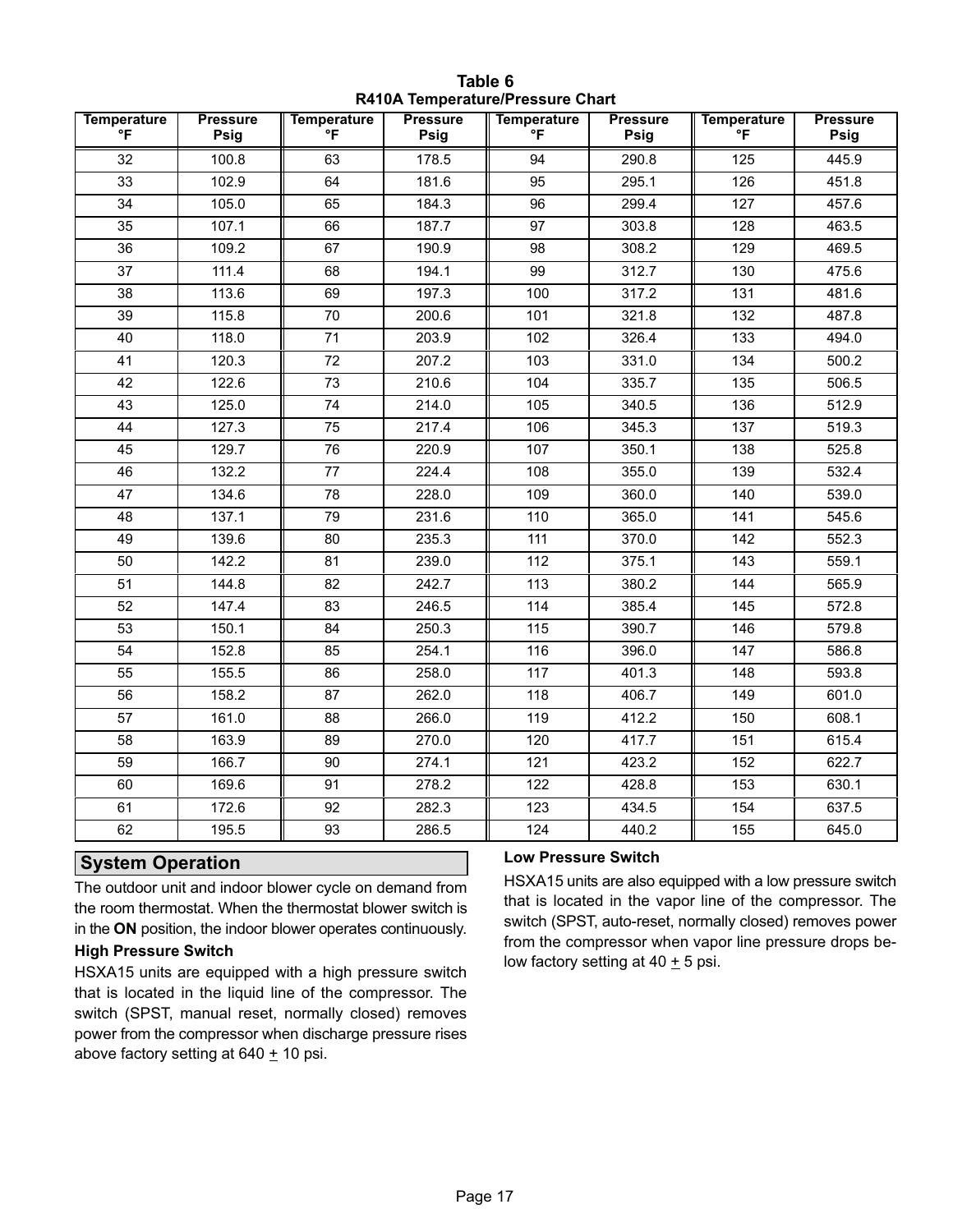<span id="page-16-0"></span>

| <b>Temperature</b><br>°F | <b>Pressure</b><br>Psig | <b>Temperature</b><br>°F | <b>Pressure</b><br>Psig | <b>Temperature</b><br>°F | <b>Pressure</b><br>Psig | <b>Temperature</b><br>$\mathsf{P}$ | <b>Pressure</b><br>Psig |
|--------------------------|-------------------------|--------------------------|-------------------------|--------------------------|-------------------------|------------------------------------|-------------------------|
| 32                       | 100.8                   | 63                       | 178.5                   | 94                       | 290.8                   | 125                                | 445.9                   |
| 33                       | 102.9                   | 64                       | 181.6                   | 95                       | 295.1                   | 126                                | 451.8                   |
| 34                       | 105.0                   | 65                       | 184.3                   | 96                       | 299.4                   | 127                                | 457.6                   |
| 35                       | 107.1                   | 66                       | 187.7                   | 97                       | 303.8                   | 128                                | 463.5                   |
| 36                       | 109.2                   | 67                       | 190.9                   | 98                       | 308.2                   | 129                                | 469.5                   |
| 37                       | 111.4                   | 68                       | 194.1                   | 99                       | 312.7                   | 130                                | 475.6                   |
| 38                       | 113.6                   | 69                       | 197.3                   | 100                      | 317.2                   | 131                                | 481.6                   |
| 39                       | 115.8                   | 70                       | 200.6                   | 101                      | 321.8                   | 132                                | 487.8                   |
| 40                       | 118.0                   | 71                       | 203.9                   | 102                      | 326.4                   | 133                                | 494.0                   |
| 41                       | 120.3                   | 72                       | 207.2                   | 103                      | 331.0                   | 134                                | 500.2                   |
| 42                       | 122.6                   | 73                       | 210.6                   | 104                      | 335.7                   | 135                                | 506.5                   |
| 43                       | 125.0                   | 74                       | 214.0                   | 105                      | 340.5                   | 136                                | 512.9                   |
| 44                       | 127.3                   | 75                       | 217.4                   | 106                      | 345.3                   | 137                                | 519.3                   |
| 45                       | 129.7                   | 76                       | 220.9                   | 107                      | 350.1                   | 138                                | 525.8                   |
| 46                       | 132.2                   | 77                       | 224.4                   | 108                      | 355.0                   | 139                                | 532.4                   |
| 47                       | 134.6                   | 78                       | 228.0                   | 109                      | 360.0                   | 140                                | 539.0                   |
| 48                       | 137.1                   | 79                       | 231.6                   | 110                      | 365.0                   | 141                                | 545.6                   |
| 49                       | 139.6                   | 80                       | 235.3                   | 111                      | 370.0                   | 142                                | 552.3                   |
| 50                       | 142.2                   | 81                       | 239.0                   | 112                      | 375.1                   | 143                                | 559.1                   |
| 51                       | 144.8                   | 82                       | 242.7                   | 113                      | 380.2                   | 144                                | 565.9                   |
| 52                       | 147.4                   | 83                       | 246.5                   | 114                      | 385.4                   | 145                                | 572.8                   |
| 53                       | 150.1                   | 84                       | 250.3                   | 115                      | 390.7                   | 146                                | 579.8                   |
| 54                       | 152.8                   | 85                       | 254.1                   | 116                      | 396.0                   | 147                                | 586.8                   |
| 55                       | 155.5                   | 86                       | 258.0                   | 117                      | 401.3                   | 148                                | 593.8                   |
| 56                       | 158.2                   | 87                       | 262.0                   | 118                      | 406.7                   | 149                                | 601.0                   |
| 57                       | 161.0                   | 88                       | 266.0                   | 119                      | 412.2                   | 150                                | 608.1                   |
| 58                       | 163.9                   | 89                       | 270.0                   | 120                      | 417.7                   | 151                                | 615.4                   |
| 59                       | 166.7                   | 90                       | 274.1                   | 121                      | 423.2                   | 152                                | 622.7                   |
| 60                       | 169.6                   | 91                       | 278.2                   | 122                      | 428.8                   | 153                                | 630.1                   |
| 61                       | 172.6                   | 92                       | 282.3                   | 123                      | 434.5                   | 154                                | 637.5                   |
| 62                       | 195.5                   | 93                       | 286.5                   | 124                      | 440.2                   | 155                                | 645.0                   |

Table 6 R410A Temperature/Pressure Chart

#### System Operation

The outdoor unit and indoor blower cycle on demand from the room thermostat. When the thermostat blower switch is in the ON position, the indoor blower operates continuously.

### High Pressure Switch

HSXA15 units are equipped with a high pressure switch that is located in the liquid line of the compressor. The switch (SPST, manual reset, normally closed) removes power from the compressor when discharge pressure rises above factory setting at  $640 \pm 10$  psi.

#### Low Pressure Switch

HSXA15 units are also equipped with a low pressure switch that is located in the vapor line of the compressor. The switch (SPST, auto−reset, normally closed) removes power from the compressor when vapor line pressure drops below factory setting at  $40 \pm 5$  psi.